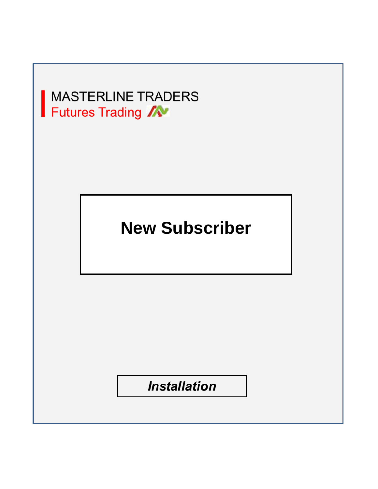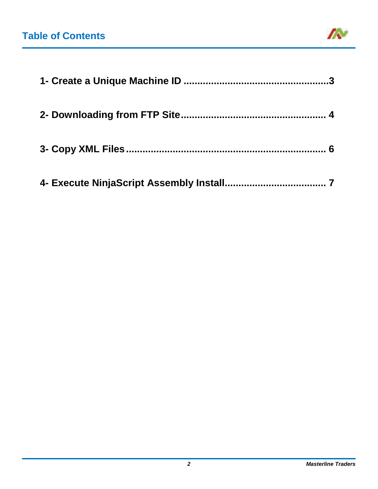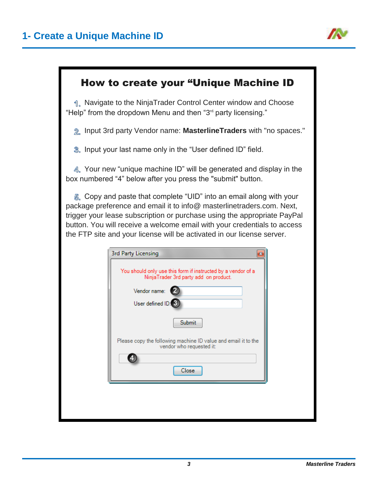

#### <span id="page-2-0"></span>How to create your "Unique Machine ID

1. Navigate to the NinjaTrader Control Center window and Choose "Help" from the dropdown Menu and then "3 $d$  party licensing."

Input 3rd party Vendor name: **MasterlineTraders** with "no spaces."

**3.** Input your last name only in the "User defined ID" field.

4. Your new "unique machine ID" will be generated and display in the box numbered "4" below after you press the "submit" button.

Copy and paste that complete "UID" into an email along with your package preference and email it to info@ masterlinetraders.com. Next, trigger your lease subscription or purchase using the appropriate PayPal button. You will receive a welcome email with your credentials to access the FTP site and your license will be activated in our license server.

|                  | You should only use this form if instructed by a vendor of a<br>NinjaTrader 3rd party add on product. |
|------------------|-------------------------------------------------------------------------------------------------------|
| Vendor name:     |                                                                                                       |
| User defined ID: |                                                                                                       |
|                  | <b>Submit</b>                                                                                         |
|                  | Please copy the following machine ID value and email it to the<br>vendor who requested it:            |
|                  |                                                                                                       |
|                  | Close                                                                                                 |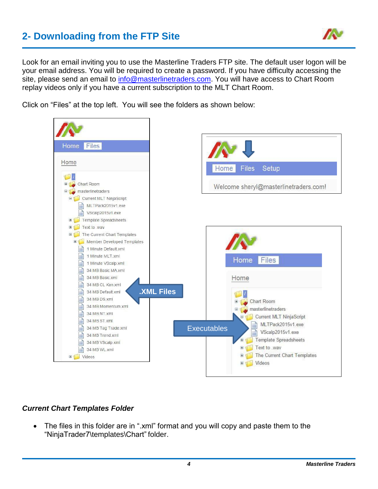## <span id="page-3-0"></span>**2- Downloading from the FTP Site**



Look for an email inviting you to use the Masterline Traders FTP site. The default user logon will be your email address. You will be required to create a password. If you have difficulty accessing the site, please send an email to [info@masterlinetraders.com.](mailto:info@masterlinetraders.com) You will have access to Chart Room replay videos only if you have a current subscription to the MLT Chart Room.

Click on "Files" at the top left. You will see the folders as shown below:



#### *Current Chart Templates Folder*

• The files in this folder are in ".xml" format and you will copy and paste them to the "NinjaTrader7\templates\Chart" folder.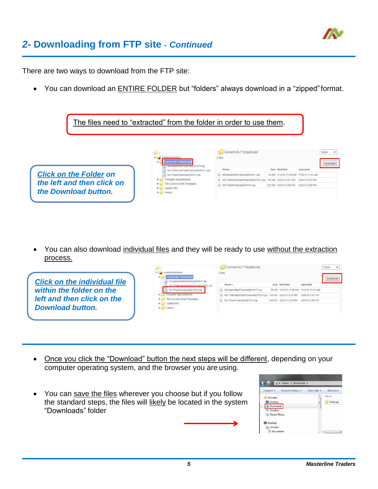

### *2-* **Downloading from FTP site -** *Continued*

There are two ways to download from the FTP site:

• You can download an ENTIRE FOLDER but "folders" always download in a "zipped" format.



You can also download individual files and they will be ready to use without the extraction process.



- Once you click the "Download" button the next steps will be different, depending on your computer operating system, and the browser you are using.
- You can save the files wherever you choose but if you follow the standard steps, the files will likely be located in the system "Downloads" folder

| Organize v       | Include in library | Share with | Slide show |
|------------------|--------------------|------------|------------|
| <b>Favorites</b> |                    | ۰          | Name       |
| Desktop          |                    | É          | Software   |
| Downloads        |                    |            |            |
| Dropbox          |                    |            |            |
| Recent Places    |                    |            |            |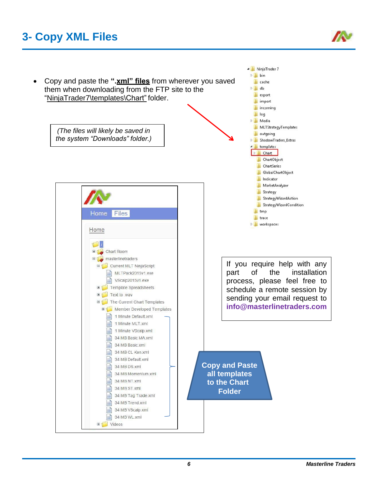# **3- Copy XML Files**